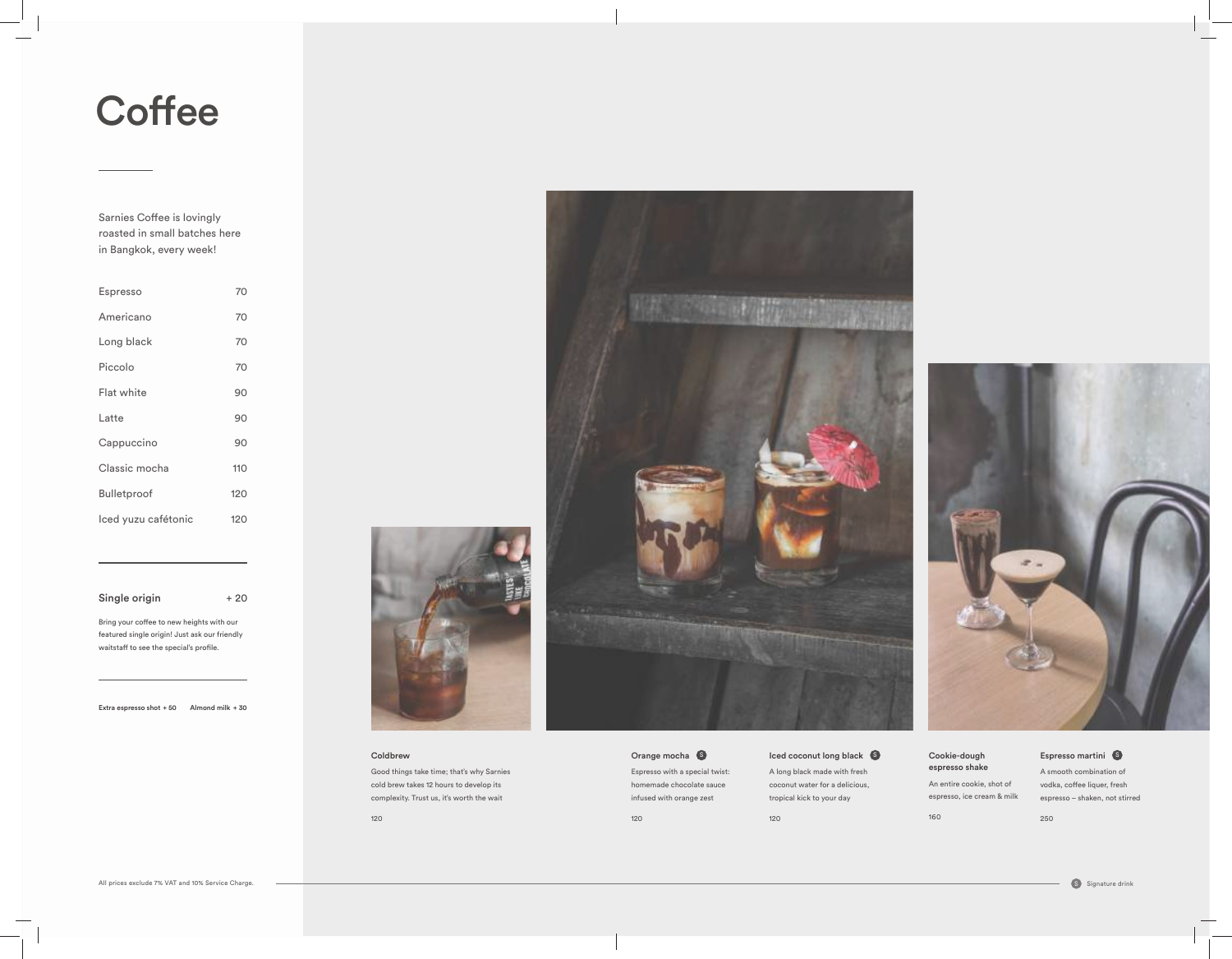A long black made with fresh coconut water for a delicious, tropical kick to your day

Orange mocha **S** Espresso with a special twist: homemade chocolate sauce infused with orange zest

120

120

# $\mathbb S$  Iced coconut long black  $\,\mathbb S$  Cookie-dough Espresso martini  $\,\mathbb S$

Cookie-dough espresso shake

An entire cookie, shot of espresso, ice cream & milk

### Espresso martini 6

160



A smooth combination of vodka, coffee liquer, fresh espresso – shaken, not stirred

250



## Coldbrew

Good things take time; that's why Sarnies cold brew takes 12 hours to develop its complexity. Trust us, it's worth the wait

120



| Espresso            | 70  |
|---------------------|-----|
| Americano           | 70  |
| Long black          | 70  |
| Piccolo             | 70  |
| Flat white          | 90  |
| Latte               | 90  |
| Cappuccino          | 90  |
| Classic mocha       | 110 |
| Bulletproof         | 120 |
| Iced yuzu cafétonic | 120 |
|                     |     |

Single origin  $+20$ 

# **Coffee**

Sarnies Coffee is lovingly roasted in small batches here in Bangkok, every week!

Bring your coffee to new heights with our featured single origin! Just ask our friendly waitstaff to see the special's profile.

Extra espresso shot + 50 Almond milk + 30

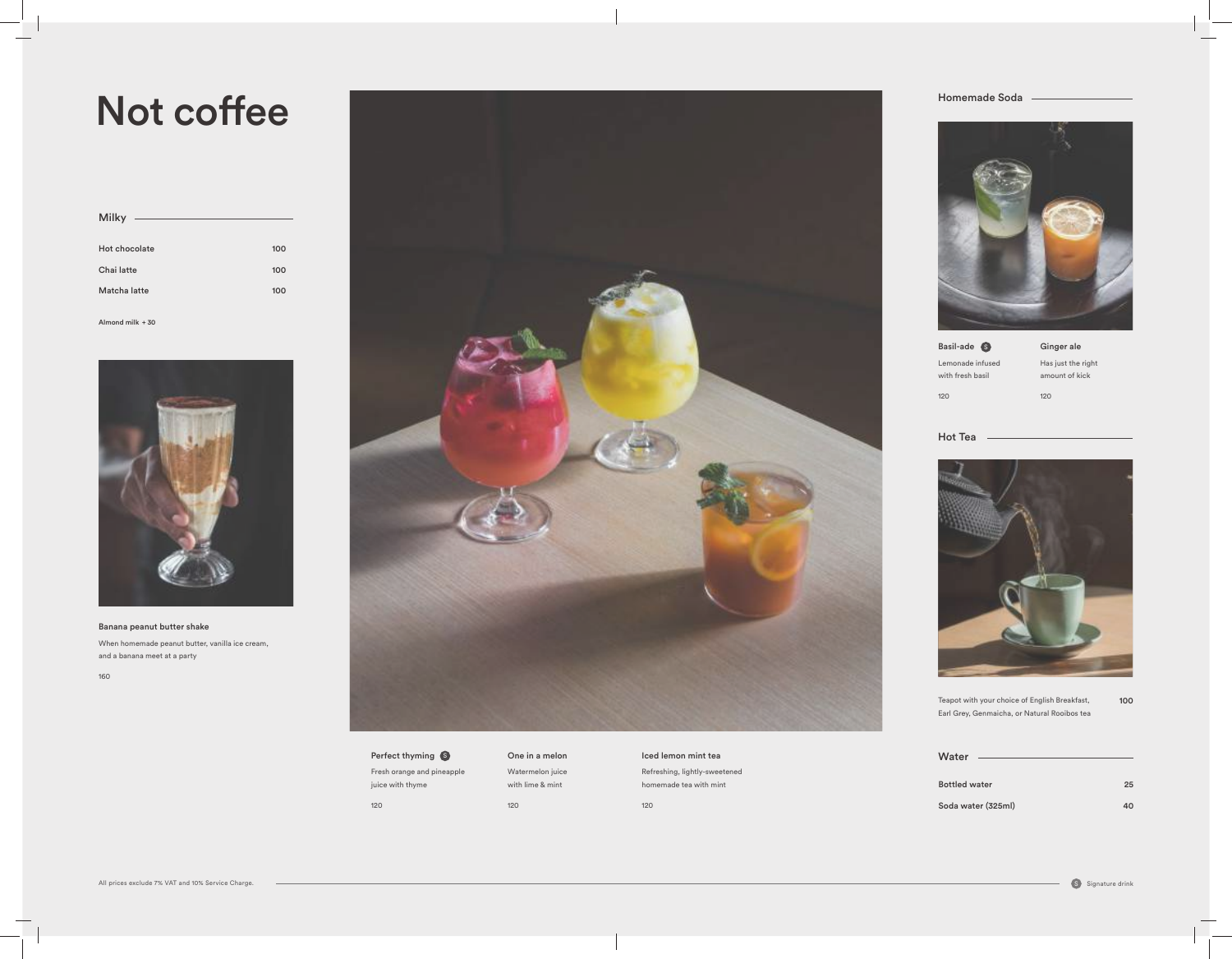Iced lemon mint tea Refreshing, lightly-sweetened homemade tea with mint Perfect thyming Servey on the in a melon which was a local lemon mint team of the control of the control of the Water Ginger ale Has just the right amount of kick

120



120



Lemonade infused

Basil-ade S with fresh basil 120

Hot Tea





Bottled Soda w

100 Teapot with your choice of English Breakfast, Earl Grey, Genmaicha, or Natural Rooibos tea

## Homemade Soda



| 25 |
|----|
| 40 |
|    |

Fresh orange and pineapple juice with thyme 120

# One in a melon Watermelon juice with lime & mint 120

# Not coffee

| <b>Milky</b>  |     |
|---------------|-----|
| Hot chocolate | 100 |
| Chai latte    | 100 |
| Matcha latte  | 100 |

Banana peanut butter shake When homemade peanut butter, vanilla ice cream, and a banana meet at a party

160



Almond milk + 30